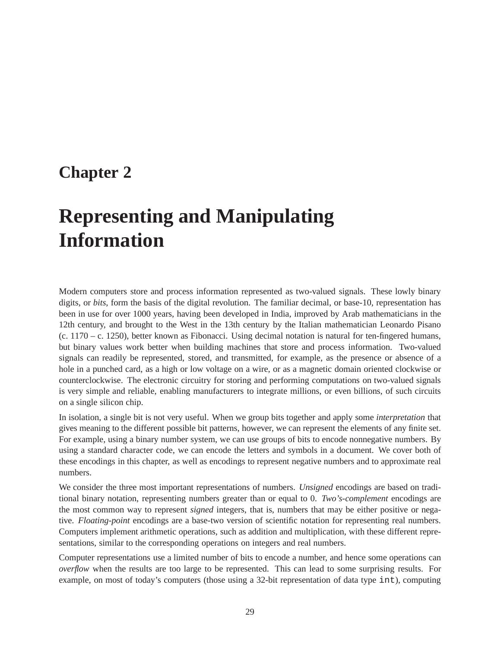# **Chapter 2**

# **Representing and Manipulating Information**

Modern computers store and process information represented as two-valued signals. These lowly binary digits, or *bits*, form the basis of the digital revolution. The familiar decimal, or base-10, representation has been in use for over 1000 years, having been developed in India, improved by Arab mathematicians in the 12th century, and brought to the West in the 13th century by the Italian mathematician Leonardo Pisano (c.  $1170 - c$ ,  $1250$ ), better known as Fibonacci. Using decimal notation is natural for ten-fingered humans, but binary values work better when building machines that store and process information. Two-valued signals can readily be represented, stored, and transmitted, for example, as the presence or absence of a hole in a punched card, as a high or low voltage on a wire, or as a magnetic domain oriented clockwise or counterclockwise. The electronic circuitry for storing and performing computations on two-valued signals is very simple and reliable, enabling manufacturers to integrate millions, or even billions, of such circuits on a single silicon chip.

In isolation, a single bit is not very useful. When we group bits together and apply some *interpretation* that gives meaning to the different possible bit patterns, however, we can represent the elements of any finite set. For example, using a binary number system, we can use groups of bits to encode nonnegative numbers. By using a standard character code, we can encode the letters and symbols in a document. We cover both of these encodings in this chapter, as well as encodings to represent negative numbers and to approximate real numbers.

We consider the three most important representations of numbers. *Unsigned* encodings are based on traditional binary notation, representing numbers greater than or equal to 0. *Two's-complement* encodings are the most common way to represent *signed* integers, that is, numbers that may be either positive or negative. *Floating-point* encodings are a base-two version of scientific notation for representing real numbers. Computers implement arithmetic operations, such as addition and multiplication, with these different representations, similar to the corresponding operations on integers and real numbers.

Computer representations use a limited number of bits to encode a number, and hence some operations can *overflow* when the results are too large to be represented. This can lead to some surprising results. For example, on most of today's computers (those using a 32-bit representation of data type int), computing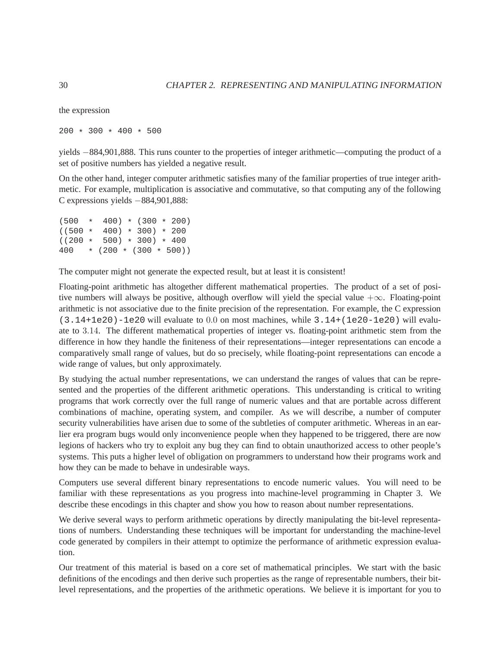the expression

200 \* 300 \* 400 \* 500

yields −884,901,888. This runs counter to the properties of integer arithmetic—computing the product of a set of positive numbers has yielded a negative result.

On the other hand, integer computer arithmetic satisfies many of the familiar properties of true integer arithmetic. For example, multiplication is associative and commutative, so that computing any of the following C expressions yields −884,901,888:

|  | $(500 \times 400) \times (300 \times 200)$ |  |  |
|--|--------------------------------------------|--|--|
|  | $((500 * 400) * 300) * 200$                |  |  |
|  | $((200 * 500) * 300) * 400$                |  |  |
|  | $400 \times (200 \times (300 \times 500))$ |  |  |

The computer might not generate the expected result, but at least it is consistent!

Floating-point arithmetic has altogether different mathematical properties. The product of a set of positive numbers will always be positive, although overflow will yield the special value  $+\infty$ . Floating-point arithmetic is not associative due to the finite precision of the representation. For example, the C expression (3.14+1e20)-1e20 will evaluate to 0.0 on most machines, while 3.14+(1e20-1e20) will evaluate to 3.14. The different mathematical properties of integer vs. floating-point arithmetic stem from the difference in how they handle the finiteness of their representations—integer representations can encode a comparatively small range of values, but do so precisely, while floating-point representations can encode a wide range of values, but only approximately.

By studying the actual number representations, we can understand the ranges of values that can be represented and the properties of the different arithmetic operations. This understanding is critical to writing programs that work correctly over the full range of numeric values and that are portable across different combinations of machine, operating system, and compiler. As we will describe, a number of computer security vulnerabilities have arisen due to some of the subtleties of computer arithmetic. Whereas in an earlier era program bugs would only inconvenience people when they happened to be triggered, there are now legions of hackers who try to exploit any bug they can find to obtain unauthorized access to other people's systems. This puts a higher level of obligation on programmers to understand how their programs work and how they can be made to behave in undesirable ways.

Computers use several different binary representations to encode numeric values. You will need to be familiar with these representations as you progress into machine-level programming in Chapter 3. We describe these encodings in this chapter and show you how to reason about number representations.

We derive several ways to perform arithmetic operations by directly manipulating the bit-level representations of numbers. Understanding these techniques will be important for understanding the machine-level code generated by compilers in their attempt to optimize the performance of arithmetic expression evaluation.

Our treatment of this material is based on a core set of mathematical principles. We start with the basic definitions of the encodings and then derive such properties as the range of representable numbers, their bitlevel representations, and the properties of the arithmetic operations. We believe it is important for you to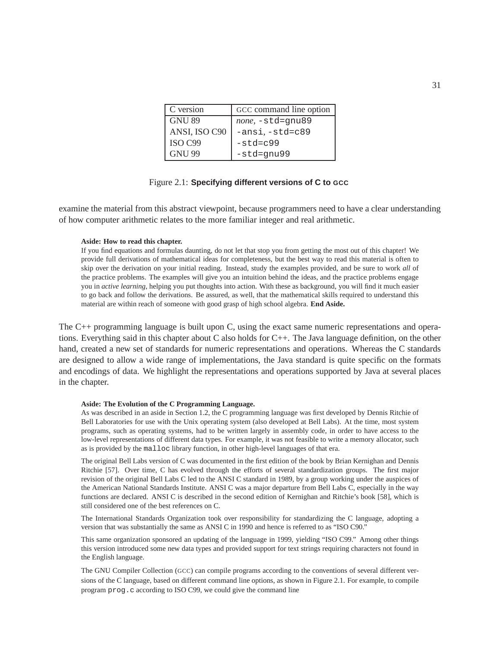| C version           | GCC command line option |
|---------------------|-------------------------|
| <b>GNU 89</b>       | $none, -std = gnu89$    |
| ANSI, ISO C90       | $-ansi, -std=c89$       |
| ISO C <sub>99</sub> | $-std=c99$              |
| <b>GNU</b> 99       | -std=gnu99              |

Figure 2.1: **Specifying different versions of C to GCC** 

examine the material from this abstract viewpoint, because programmers need to have a clear understanding of how computer arithmetic relates to the more familiar integer and real arithmetic.

#### **Aside: How to read this chapter.**

If you find equations and formulas daunting, do not let that stop you from getting the most out of this chapter! We provide full derivations of mathematical ideas for completeness, but the best way to read this material is often to skip over the derivation on your initial reading. Instead, study the examples provided, and be sure to work *all* of the practice problems. The examples will give you an intuition behind the ideas, and the practice problems engage you in *active learning*, helping you put thoughts into action. With these as background, you will find it much easier to go back and follow the derivations. Be assured, as well, that the mathematical skills required to understand this material are within reach of someone with good grasp of high school algebra. **End Aside.**

The C++ programming language is built upon C, using the exact same numeric representations and operations. Everything said in this chapter about C also holds for C++. The Java language definition, on the other hand, created a new set of standards for numeric representations and operations. Whereas the C standards are designed to allow a wide range of implementations, the Java standard is quite specific on the formats and encodings of data. We highlight the representations and operations supported by Java at several places in the chapter.

#### **Aside: The Evolution of the C Programming Language.**

As was described in an aside in Section 1.2, the C programming language was first developed by Dennis Ritchie of Bell Laboratories for use with the Unix operating system (also developed at Bell Labs). At the time, most system programs, such as operating systems, had to be written largely in assembly code, in order to have access to the low-level representations of different data types. For example, it was not feasible to write a memory allocator, such as is provided by the malloc library function, in other high-level languages of that era.

The original Bell Labs version of C was documented in the first edition of the book by Brian Kernighan and Dennis Ritchie [57]. Over time, C has evolved through the efforts of several standardization groups. The first major revision of the original Bell Labs C led to the ANSI C standard in 1989, by a group working under the auspices of the American National Standards Institute. ANSI C was a major departure from Bell Labs C, especially in the way functions are declared. ANSI C is described in the second edition of Kernighan and Ritchie's book [58], which is still considered one of the best references on C.

The International Standards Organization took over responsibility for standardizing the C language, adopting a version that was substantially the same as ANSI C in 1990 and hence is referred to as "ISO C90."

This same organization sponsored an updating of the language in 1999, yielding "ISO C99." Among other things this version introduced some new data types and provided support for text strings requiring characters not found in the English language.

The GNU Compiler Collection (GCC) can compile programs according to the conventions of several different versions of the C language, based on different command line options, as shown in Figure 2.1. For example, to compile program prog.c according to ISO C99, we could give the command line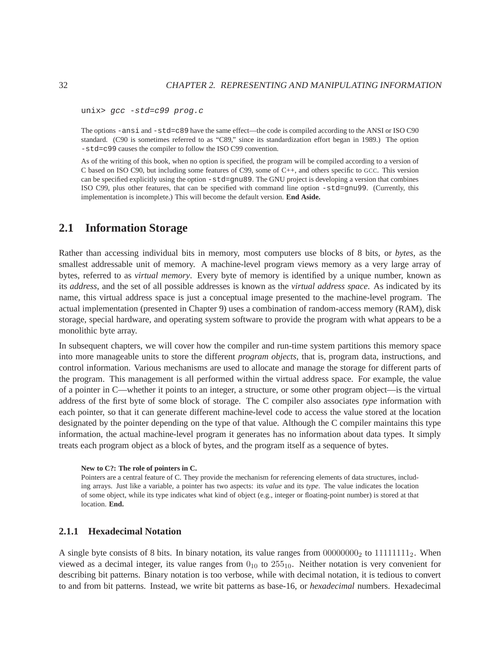unix> gcc -std=c99 prog.c

The options -ansi and -std=c89 have the same effect—the code is compiled according to the ANSI or ISO C90 standard. (C90 is sometimes referred to as "C89," since its standardization effort began in 1989.) The option -std=c99 causes the compiler to follow the ISO C99 convention.

As of the writing of this book, when no option is specified, the program will be compiled according to a version of C based on ISO C90, but including some features of C99, some of C++, and others specific to GCC. This version can be specified explicitly using the option -std=gnu89. The GNU project is developing a version that combines ISO C99, plus other features, that can be specified with command line option -std=gnu99. (Currently, this implementation is incomplete.) This will become the default version. **End Aside.**

# **2.1 Information Storage**

Rather than accessing individual bits in memory, most computers use blocks of 8 bits, or *bytes*, as the smallest addressable unit of memory. A machine-level program views memory as a very large array of bytes, referred to as *virtual memory*. Every byte of memory is identified by a unique number, known as its *address*, and the set of all possible addresses is known as the *virtual address space*. As indicated by its name, this virtual address space is just a conceptual image presented to the machine-level program. The actual implementation (presented in Chapter 9) uses a combination of random-access memory (RAM), disk storage, special hardware, and operating system software to provide the program with what appears to be a monolithic byte array.

In subsequent chapters, we will cover how the compiler and run-time system partitions this memory space into more manageable units to store the different *program objects*, that is, program data, instructions, and control information. Various mechanisms are used to allocate and manage the storage for different parts of the program. This management is all performed within the virtual address space. For example, the value of a pointer in C—whether it points to an integer, a structure, or some other program object—is the virtual address of the first byte of some block of storage. The C compiler also associates *type* information with each pointer, so that it can generate different machine-level code to access the value stored at the location designated by the pointer depending on the type of that value. Although the C compiler maintains this type information, the actual machine-level program it generates has no information about data types. It simply treats each program object as a block of bytes, and the program itself as a sequence of bytes.

#### **New to C?: The role of pointers in C.**

Pointers are a central feature of C. They provide the mechanism for referencing elements of data structures, including arrays. Just like a variable, a pointer has two aspects: its *value* and its *type*. The value indicates the location of some object, while its type indicates what kind of object (e.g., integer or floating-point number) is stored at that location. **End.**

# **2.1.1 Hexadecimal Notation**

A single byte consists of 8 bits. In binary notation, its value ranges from  $00000000_2$  to  $11111111_2$ . When viewed as a decimal integer, its value ranges from  $0_{10}$  to  $255_{10}$ . Neither notation is very convenient for describing bit patterns. Binary notation is too verbose, while with decimal notation, it is tedious to convert to and from bit patterns. Instead, we write bit patterns as base-16, or *hexadecimal* numbers. Hexadecimal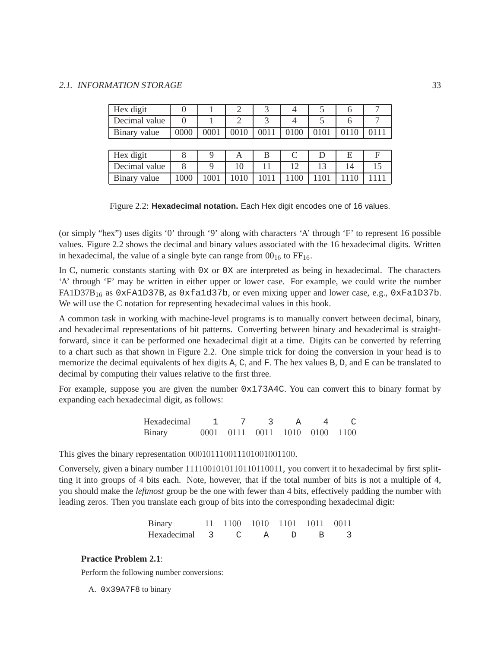| Hex digit     |      |      |      | 3    | 4    |      | O    |    |
|---------------|------|------|------|------|------|------|------|----|
| Decimal value |      |      | 2    | 3    |      | 5    | h    |    |
| Binary value  | 0000 | 0001 | 0010 | 0011 | 0100 | 0101 | 0110 |    |
|               |      |      |      |      |      |      |      |    |
| Hex digit     |      |      | А    | B    | C    | D    | Е    | F  |
| Decimal value | 8    |      | 10   | 11   | 12   | 13   | 14   | 15 |
| Binary value  | 1000 | 1001 | 1010 | 1011 | 1100 | 1101 | 1110 |    |

Figure 2.2: **Hexadecimal notation.** Each Hex digit encodes one of 16 values.

(or simply "hex") uses digits '0' through '9' along with characters 'A' through 'F' to represent 16 possible values. Figure 2.2 shows the decimal and binary values associated with the 16 hexadecimal digits. Written in hexadecimal, the value of a single byte can range from  $00_{16}$  to  $FF_{16}$ .

In C, numeric constants starting with  $0 \times$  or  $0 \times$  are interpreted as being in hexadecimal. The characters 'A' through 'F' may be written in either upper or lower case. For example, we could write the number FA1D37B<sub>16</sub> as 0xFA1D37B, as 0xfa1d37b, or even mixing upper and lower case, e.g., 0xFa1D37b. We will use the C notation for representing hexadecimal values in this book.

A common task in working with machine-level programs is to manually convert between decimal, binary, and hexadecimal representations of bit patterns. Converting between binary and hexadecimal is straightforward, since it can be performed one hexadecimal digit at a time. Digits can be converted by referring to a chart such as that shown in Figure 2.2. One simple trick for doing the conversion in your head is to memorize the decimal equivalents of hex digits A, C, and F. The hex values B, D, and E can be translated to decimal by computing their values relative to the first three.

For example, suppose you are given the number  $0 \times 173A4C$ . You can convert this to binary format by expanding each hexadecimal digit, as follows:

| Hexadecimal |  |                               | $\overline{4}$ |  |
|-------------|--|-------------------------------|----------------|--|
| Binary      |  | 0001 0111 0011 1010 0100 1100 |                |  |

This gives the binary representation 000101110011101001001100.

Conversely, given a binary number 1111001010110110110011, you convert it to hexadecimal by first splitting it into groups of 4 bits each. Note, however, that if the total number of bits is not a multiple of 4, you should make the *leftmost* group be the one with fewer than 4 bits, effectively padding the number with leading zeros. Then you translate each group of bits into the corresponding hexadecimal digit:

| Binary        | 11 1100 1010 1101 1011 0011 |  |  |
|---------------|-----------------------------|--|--|
| Hexadecimal 3 |                             |  |  |

# **Practice Problem 2.1**:

Perform the following number conversions:

A. 0x39A7F8 to binary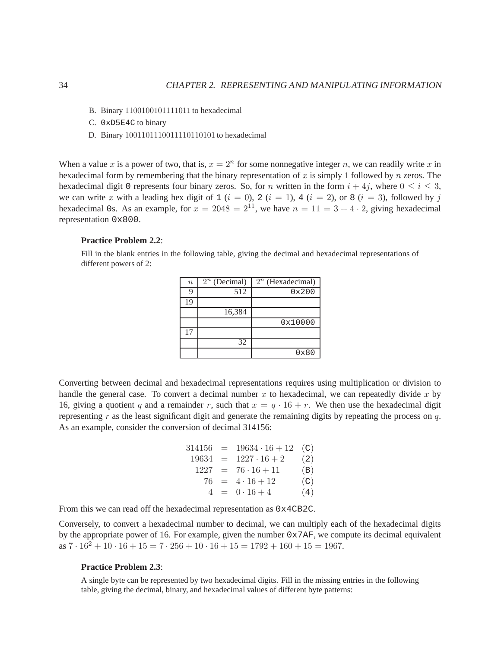- B. Binary 1100100101111011 to hexadecimal
- C. 0xD5E4C to binary
- D. Binary 1001101110011110110101 to hexadecimal

When a value x is a power of two, that is,  $x = 2^n$  for some nonnegative integer n, we can readily write x in hexadecimal form by remembering that the binary representation of  $x$  is simply 1 followed by  $n$  zeros. The hexadecimal digit 0 represents four binary zeros. So, for *n* written in the form  $i + 4j$ , where  $0 \le i \le 3$ , we can write x with a leading hex digit of 1 ( $i = 0$ ), 2 ( $i = 1$ ), 4 ( $i = 2$ ), or 8 ( $i = 3$ ), followed by j hexadecimal 0s. As an example, for  $x = 2048 = 2^{11}$ , we have  $n = 11 = 3 + 4 \cdot 2$ , giving hexadecimal representation 0x800.

# **Practice Problem 2.2**:

Fill in the blank entries in the following table, giving the decimal and hexadecimal representations of different powers of 2:

| $\boldsymbol{n}$ | $2^n$ (Decimal) | $2^n$ (Hexadecimal) |
|------------------|-----------------|---------------------|
|                  | 512             | 0x200               |
| 19               |                 |                     |
|                  | 16,384          |                     |
|                  |                 | 0x10000             |
| 17               |                 |                     |
|                  | 32              |                     |
|                  |                 | 0x80                |

Converting between decimal and hexadecimal representations requires using multiplication or division to handle the general case. To convert a decimal number x to hexadecimal, we can repeatedly divide x by 16, giving a quotient q and a remainder r, such that  $x = q \cdot 16 + r$ . We then use the hexadecimal digit representing r as the least significant digit and generate the remaining digits by repeating the process on  $q$ . As an example, consider the conversion of decimal 314156:

|  | $314156 = 19634 \cdot 16 + 12$ (C) |     |
|--|------------------------------------|-----|
|  | $19634 = 1227 \cdot 16 + 2$        | (2) |
|  | $1227 = 76 \cdot 16 + 11$          | (B) |
|  | $76 = 4 \cdot 16 + 12$             | (C) |
|  | $4 = 0.16 + 4$                     | (4) |

From this we can read off the hexadecimal representation as 0x4CB2C.

Conversely, to convert a hexadecimal number to decimal, we can multiply each of the hexadecimal digits by the appropriate power of 16. For example, given the number 0x7AF, we compute its decimal equivalent as  $7 \cdot 16^2 + 10 \cdot 16 + 15 = 7 \cdot 256 + 10 \cdot 16 + 15 = 1792 + 160 + 15 = 1967$ .

#### **Practice Problem 2.3**:

A single byte can be represented by two hexadecimal digits. Fill in the missing entries in the following table, giving the decimal, binary, and hexadecimal values of different byte patterns: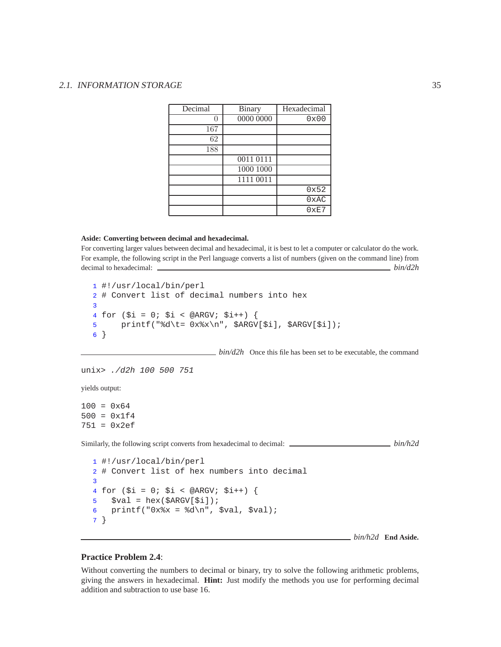| Decimal           | Binary    | Hexadecimal     |
|-------------------|-----------|-----------------|
| $\mathbf{\Omega}$ | 0000 0000 | 0x00            |
| 167               |           |                 |
| 62                |           |                 |
| 188               |           |                 |
|                   | 0011 0111 |                 |
|                   | 1000 1000 |                 |
|                   | 1111 0011 |                 |
|                   |           | 0x52            |
|                   |           | $0$ $\times$ AC |
|                   |           | 0xE7            |

#### **Aside: Converting between decimal and hexadecimal.**

For converting larger values between decimal and hexadecimal, it is best to let a computer or calculator do the work. For example, the following script in the Perl language converts a list of numbers (given on the command line) from decimal to hexadecimal: *bin/d2h*

```
1 #!/usr/local/bin/perl
   2 # Convert list of decimal numbers into hex
   \overline{2}4 for (\frac{1}{2}i = 0; \frac{1}{2}i < \text{QARGV}; \frac{1}{2}i++) {
  5 printf("%d\t= 0x%x\n", $ARGV[$i], $ARGV[$i]);
   6 }
                            bin/d2h Once this file has been set to be executable, the command
unix> ./d2h 100 500 751
yields output:
100 = 0 \times 64500 = 0x1f4751 = 0x2ef
Similarly, the following script converts from hexadecimal to decimal: bin/h2d
   1 #!/usr/local/bin/perl
  2 # Convert list of hex numbers into decimal
   3
```

```
4 for (\frac{1}{2}i = 0; \frac{1}{2}i < \text{QARGV}; \frac{1}{2}i++) {
5 $val = hex(SARGV[Si]);6 printf("0x%x = %d\n", $val, $val);
7 }
```
*bin/h2d* **End Aside.**

# **Practice Problem 2.4**:

Without converting the numbers to decimal or binary, try to solve the following arithmetic problems, giving the answers in hexadecimal. **Hint:** Just modify the methods you use for performing decimal addition and subtraction to use base 16.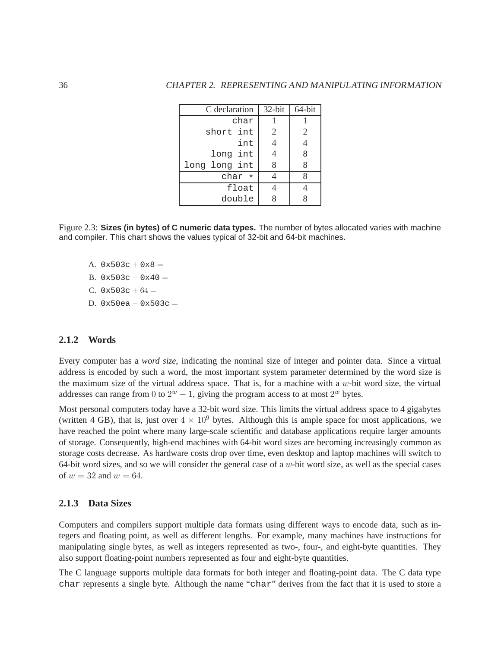| C declaration | $32$ -bit      | 64-bit         |
|---------------|----------------|----------------|
| char          |                |                |
| short int     | 2              | $\overline{2}$ |
| int           | $\overline{4}$ | $\overline{4}$ |
| long int      | $\overline{4}$ | 8              |
| long long int | 8              | 8              |
| char *        |                |                |
| float         |                |                |
| double        |                |                |

Figure 2.3: **Sizes (in bytes) of C numeric data types.** The number of bytes allocated varies with machine and compiler. This chart shows the values typical of 32-bit and 64-bit machines.

- A.  $0x503c + 0x8 =$
- B.  $0x503c 0x40 =$
- C.  $0x503c + 64 =$
- D.  $0x50ea 0x503c =$

# **2.1.2 Words**

Every computer has a *word size*, indicating the nominal size of integer and pointer data. Since a virtual address is encoded by such a word, the most important system parameter determined by the word size is the maximum size of the virtual address space. That is, for a machine with a  $w$ -bit word size, the virtual addresses can range from 0 to  $2^w - 1$ , giving the program access to at most  $2^w$  bytes.

Most personal computers today have a 32-bit word size. This limits the virtual address space to 4 gigabytes (written 4 GB), that is, just over  $4 \times 10^9$  bytes. Although this is ample space for most applications, we have reached the point where many large-scale scientific and database applications require larger amounts of storage. Consequently, high-end machines with 64-bit word sizes are becoming increasingly common as storage costs decrease. As hardware costs drop over time, even desktop and laptop machines will switch to 64-bit word sizes, and so we will consider the general case of a w-bit word size, as well as the special cases of  $w = 32$  and  $w = 64$ .

# **2.1.3 Data Sizes**

Computers and compilers support multiple data formats using different ways to encode data, such as integers and floating point, as well as different lengths. For example, many machines have instructions for manipulating single bytes, as well as integers represented as two-, four-, and eight-byte quantities. They also support floating-point numbers represented as four and eight-byte quantities.

The C language supports multiple data formats for both integer and floating-point data. The C data type char represents a single byte. Although the name "char" derives from the fact that it is used to store a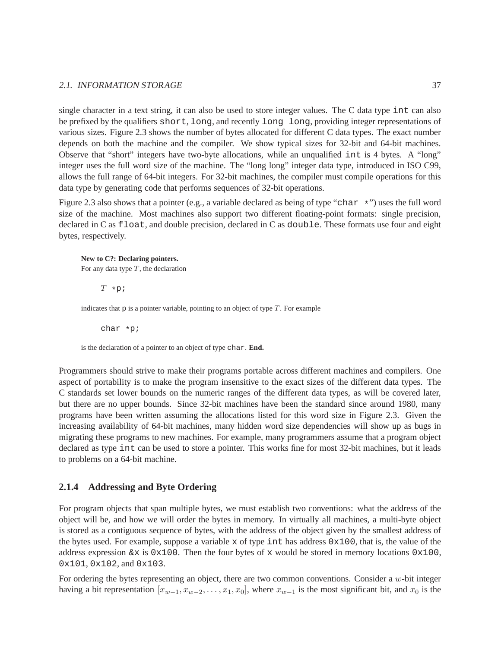single character in a text string, it can also be used to store integer values. The C data type int can also be prefixed by the qualifiers short, long, and recently long long, providing integer representations of various sizes. Figure 2.3 shows the number of bytes allocated for different C data types. The exact number depends on both the machine and the compiler. We show typical sizes for 32-bit and 64-bit machines. Observe that "short" integers have two-byte allocations, while an unqualified int is 4 bytes. A "long" integer uses the full word size of the machine. The "long long" integer data type, introduced in ISO C99, allows the full range of 64-bit integers. For 32-bit machines, the compiler must compile operations for this data type by generating code that performs sequences of 32-bit operations.

Figure 2.3 also shows that a pointer (e.g., a variable declared as being of type "char \*") uses the full word size of the machine. Most machines also support two different floating-point formats: single precision, declared in C as float, and double precision, declared in C as double. These formats use four and eight bytes, respectively.

**New to C?: Declaring pointers.**

For any data type  $T$ , the declaration

 $T$  \*p;

indicates that  $p$  is a pointer variable, pointing to an object of type  $T$ . For example

char \*p;

is the declaration of a pointer to an object of type char. **End.**

Programmers should strive to make their programs portable across different machines and compilers. One aspect of portability is to make the program insensitive to the exact sizes of the different data types. The C standards set lower bounds on the numeric ranges of the different data types, as will be covered later, but there are no upper bounds. Since 32-bit machines have been the standard since around 1980, many programs have been written assuming the allocations listed for this word size in Figure 2.3. Given the increasing availability of 64-bit machines, many hidden word size dependencies will show up as bugs in migrating these programs to new machines. For example, many programmers assume that a program object declared as type int can be used to store a pointer. This works fine for most 32-bit machines, but it leads to problems on a 64-bit machine.

# **2.1.4 Addressing and Byte Ordering**

For program objects that span multiple bytes, we must establish two conventions: what the address of the object will be, and how we will order the bytes in memory. In virtually all machines, a multi-byte object is stored as a contiguous sequence of bytes, with the address of the object given by the smallest address of the bytes used. For example, suppose a variable  $x$  of type int has address  $0x100$ , that is, the value of the address expression &x is 0x100. Then the four bytes of x would be stored in memory locations 0x100, 0x101, 0x102, and 0x103.

For ordering the bytes representing an object, there are two common conventions. Consider a w-bit integer having a bit representation  $[x_{w-1}, x_{w-2},..., x_1, x_0]$ , where  $x_{w-1}$  is the most significant bit, and  $x_0$  is the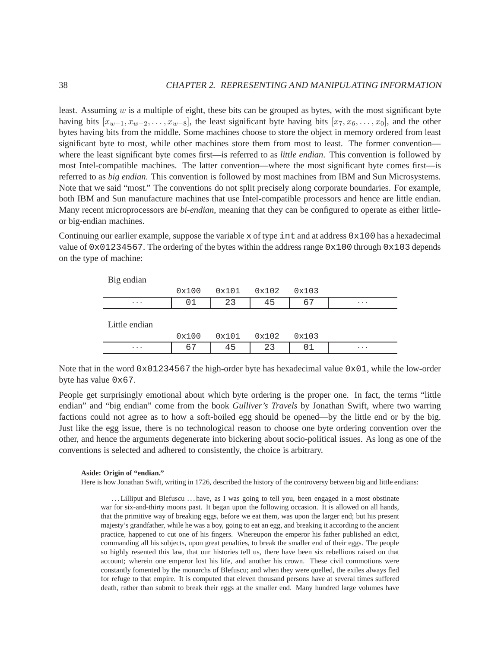least. Assuming  $w$  is a multiple of eight, these bits can be grouped as bytes, with the most significant byte having bits  $[x_{w-1}, x_{w-2}, \ldots, x_{w-8}]$ , the least significant byte having bits  $[x_7, x_6, \ldots, x_0]$ , and the other bytes having bits from the middle. Some machines choose to store the object in memory ordered from least significant byte to most, while other machines store them from most to least. The former convention where the least significant byte comes first—is referred to as *little endian*. This convention is followed by most Intel-compatible machines. The latter convention—where the most significant byte comes first—is referred to as *big endian*. This convention is followed by most machines from IBM and Sun Microsystems. Note that we said "most." The conventions do not split precisely along corporate boundaries. For example, both IBM and Sun manufacture machines that use Intel-compatible processors and hence are little endian. Many recent microprocessors are *bi-endian*, meaning that they can be configured to operate as either littleor big-endian machines.

Continuing our earlier example, suppose the variable  $x$  of type int and at address  $0x100$  has a hexadecimal value of 0x01234567. The ordering of the bytes within the address range 0x100 through 0x103 depends on the type of machine:

| Big endian    |       |       |       |       |          |
|---------------|-------|-------|-------|-------|----------|
|               | 0x100 | 0x101 | 0x102 | 0x103 |          |
| $\cdots$      | 01    | 23    | 45    | 67    | $\cdots$ |
| Little endian |       |       |       |       |          |
|               | 0x100 | 0x101 | 0x102 | 0x103 |          |
| $\cdots$      | 67    | 45    | 23    | 01    | $\cdots$ |

Note that in the word  $0 \times 01234567$  the high-order byte has hexadecimal value  $0 \times 01$ , while the low-order byte has value 0x67.

People get surprisingly emotional about which byte ordering is the proper one. In fact, the terms "little endian" and "big endian" come from the book *Gulliver's Travels* by Jonathan Swift, where two warring factions could not agree as to how a soft-boiled egg should be opened—by the little end or by the big. Just like the egg issue, there is no technological reason to choose one byte ordering convention over the other, and hence the arguments degenerate into bickering about socio-political issues. As long as one of the conventions is selected and adhered to consistently, the choice is arbitrary.

#### **Aside: Origin of "endian."**

Here is how Jonathan Swift, writing in 1726, described the history of the controversy between big and little endians:

. . . Lilliput and Blefuscu . . . have, as I was going to tell you, been engaged in a most obstinate war for six-and-thirty moons past. It began upon the following occasion. It is allowed on all hands, that the primitive way of breaking eggs, before we eat them, was upon the larger end; but his present majesty's grandfather, while he was a boy, going to eat an egg, and breaking it according to the ancient practice, happened to cut one of his fingers. Whereupon the emperor his father published an edict, commanding all his subjects, upon great penalties, to break the smaller end of their eggs. The people so highly resented this law, that our histories tell us, there have been six rebellions raised on that account; wherein one emperor lost his life, and another his crown. These civil commotions were constantly fomented by the monarchs of Blefuscu; and when they were quelled, the exiles always fled for refuge to that empire. It is computed that eleven thousand persons have at several times suffered death, rather than submit to break their eggs at the smaller end. Many hundred large volumes have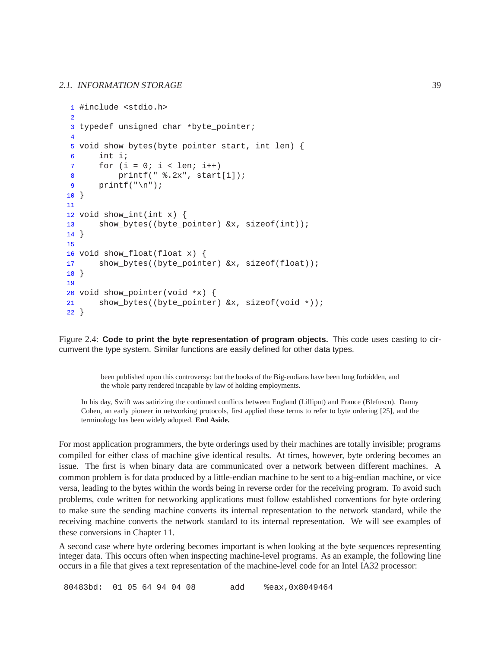```
1 #include <stdio.h>
\overline{2}3 typedef unsigned char *byte_pointer;
4
5 void show_bytes(byte_pointer start, int len) {
6 int i;
7 for (i = 0; i < len; i++)8 printf(" %.2x", start[i]);
9 printf("\n\langle n" \rangle;
10 }
11
12 void show_int(int x) {
13 show_bytes((byte_pointer) &x, sizeof(int));
14 }
15
16 void show_float(float x) {
17 show_bytes((byte_pointer) &x, sizeof(float));
18 }
19
20 void show pointer(void *x) {
21 show_bytes((byte_pointer) &x, sizeof(void *));
22 }
```
Figure 2.4: **Code to print the byte representation of program objects.** This code uses casting to circumvent the type system. Similar functions are easily defined for other data types.

> been published upon this controversy: but the books of the Big-endians have been long forbidden, and the whole party rendered incapable by law of holding employments.

In his day, Swift was satirizing the continued conflicts between England (Lilliput) and France (Blefuscu). Danny Cohen, an early pioneer in networking protocols, first applied these terms to refer to byte ordering [25], and the terminology has been widely adopted. **End Aside.**

For most application programmers, the byte orderings used by their machines are totally invisible; programs compiled for either class of machine give identical results. At times, however, byte ordering becomes an issue. The first is when binary data are communicated over a network between different machines. A common problem is for data produced by a little-endian machine to be sent to a big-endian machine, or vice versa, leading to the bytes within the words being in reverse order for the receiving program. To avoid such problems, code written for networking applications must follow established conventions for byte ordering to make sure the sending machine converts its internal representation to the network standard, while the receiving machine converts the network standard to its internal representation. We will see examples of these conversions in Chapter 11.

A second case where byte ordering becomes important is when looking at the byte sequences representing integer data. This occurs often when inspecting machine-level programs. As an example, the following line occurs in a file that gives a text representation of the machine-level code for an Intel IA32 processor:

80483bd: 01 05 64 94 04 08 add %eax,0x8049464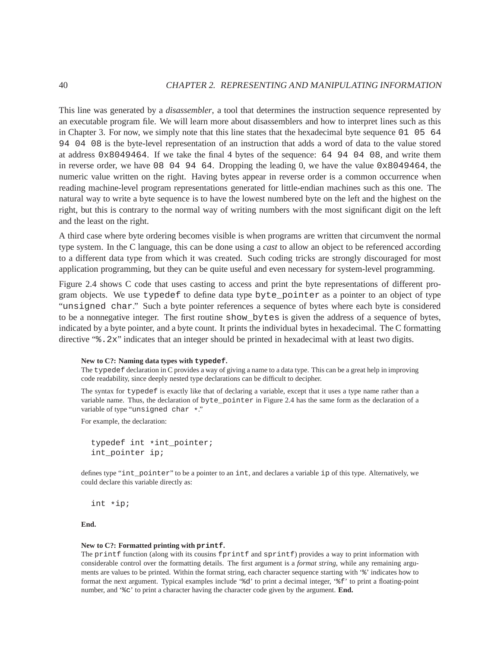This line was generated by a *disassembler*, a tool that determines the instruction sequence represented by an executable program file. We will learn more about disassemblers and how to interpret lines such as this in Chapter 3. For now, we simply note that this line states that the hexadecimal byte sequence 01 05 64 94 04 08 is the byte-level representation of an instruction that adds a word of data to the value stored at address 0x8049464. If we take the final 4 bytes of the sequence: 64 94 04 08, and write them in reverse order, we have 08 04 94 64. Dropping the leading 0, we have the value  $0 \times 8049464$ , the numeric value written on the right. Having bytes appear in reverse order is a common occurrence when reading machine-level program representations generated for little-endian machines such as this one. The natural way to write a byte sequence is to have the lowest numbered byte on the left and the highest on the right, but this is contrary to the normal way of writing numbers with the most significant digit on the left and the least on the right.

A third case where byte ordering becomes visible is when programs are written that circumvent the normal type system. In the C language, this can be done using a *cast* to allow an object to be referenced according to a different data type from which it was created. Such coding tricks are strongly discouraged for most application programming, but they can be quite useful and even necessary for system-level programming.

Figure 2.4 shows C code that uses casting to access and print the byte representations of different program objects. We use typedef to define data type byte\_pointer as a pointer to an object of type "unsigned char." Such a byte pointer references a sequence of bytes where each byte is considered to be a nonnegative integer. The first routine show\_bytes is given the address of a sequence of bytes, indicated by a byte pointer, and a byte count. It prints the individual bytes in hexadecimal. The C formatting directive "%.2x" indicates that an integer should be printed in hexadecimal with at least two digits.

#### **New to C?: Naming data types with typedef.**

The typedef declaration in C provides a way of giving a name to a data type. This can be a great help in improving code readability, since deeply nested type declarations can be difficult to decipher.

The syntax for typedef is exactly like that of declaring a variable, except that it uses a type name rather than a variable name. Thus, the declaration of byte\_pointer in Figure 2.4 has the same form as the declaration of a variable of type "unsigned char \*."

For example, the declaration:

```
typedef int *int_pointer;
int pointer ip;
```
defines type "int pointer" to be a pointer to an int, and declares a variable ip of this type. Alternatively, we could declare this variable directly as:

int \*ip;

#### **End.**

#### **New to C?: Formatted printing with printf.**

The printf function (along with its cousins fprintf and sprintf) provides a way to print information with considerable control over the formatting details. The first argument is a *format string*, while any remaining arguments are values to be printed. Within the format string, each character sequence starting with '%' indicates how to format the next argument. Typical examples include '%d' to print a decimal integer, '%f' to print a floating-point number, and '%c' to print a character having the character code given by the argument. **End.**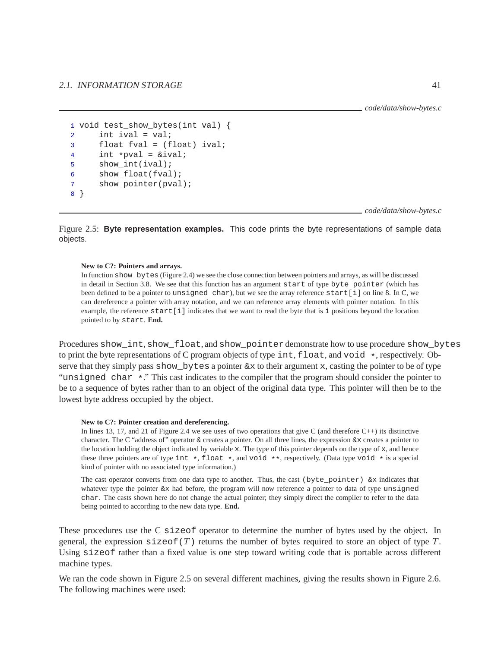*code/data/show-bytes.c*

```
1 void test show bytes(int val) {
2 int ival = val;
3 float fval = (float) ival;
4 int *pval = &ival;
5 show int(ival);
6 show float(fval);
7 show pointer(pval);
8 }
```
*code/data/show-bytes.c*

Figure 2.5: **Byte representation examples.** This code prints the byte representations of sample data objects.

#### **New to C?: Pointers and arrays.**

In function show\_bytes (Figure 2.4) we see the close connection between pointers and arrays, as will be discussed in detail in Section 3.8. We see that this function has an argument start of type byte\_pointer (which has been defined to be a pointer to unsigned char), but we see the array reference start[i] on line 8. In C, we can dereference a pointer with array notation, and we can reference array elements with pointer notation. In this example, the reference start[i] indicates that we want to read the byte that is i positions beyond the location pointed to by start. **End.**

Procedures show\_int, show\_float, and show\_pointerdemonstrate how to use procedure show\_bytes to print the byte representations of C program objects of type int, float, and void \*, respectively. Observe that they simply pass show bytes a pointer  $&x$  to their argument x, casting the pointer to be of type "unsigned char \*." This cast indicates to the compiler that the program should consider the pointer to be to a sequence of bytes rather than to an object of the original data type. This pointer will then be to the lowest byte address occupied by the object.

#### **New to C?: Pointer creation and dereferencing.**

In lines 13, 17, and 21 of Figure 2.4 we see uses of two operations that give C (and therefore  $C_{++}$ ) its distinctive character. The C "address of" operator & creates a pointer. On all three lines, the expression &x creates a pointer to the location holding the object indicated by variable x. The type of this pointer depends on the type of x, and hence these three pointers are of type int \*, float \*, and void \*\*, respectively. (Data type void \* is a special kind of pointer with no associated type information.)

The cast operator converts from one data type to another. Thus, the cast ( $byte\_pointer)$ )  $&x$  indicates that whatever type the pointer  $\&x$  had before, the program will now reference a pointer to data of type unsigned char. The casts shown here do not change the actual pointer; they simply direct the compiler to refer to the data being pointed to according to the new data type. **End.**

These procedures use the C sizeof operator to determine the number of bytes used by the object. In general, the expression  $\text{sizeof}(T)$  returns the number of bytes required to store an object of type T. Using sizeof rather than a fixed value is one step toward writing code that is portable across different machine types.

We ran the code shown in Figure 2.5 on several different machines, giving the results shown in Figure 2.6. The following machines were used: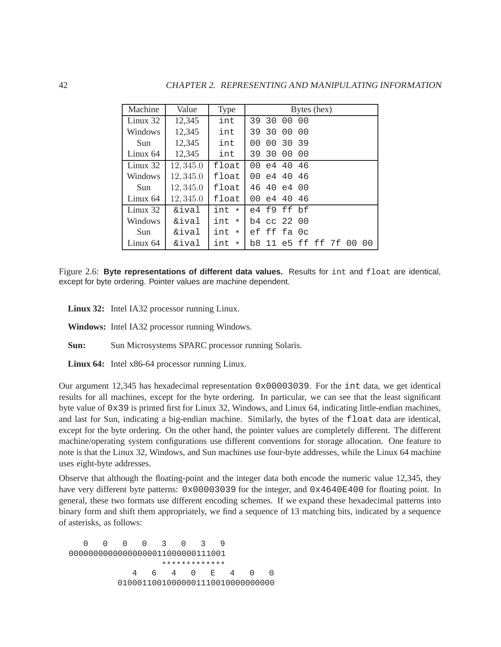| Machine        | Value     | <b>Type</b>    | Bytes (hex)                        |  |  |  |
|----------------|-----------|----------------|------------------------------------|--|--|--|
| Linux $32$     | 12,345    | int            | 39<br>0 <sub>0</sub><br>30<br>- 00 |  |  |  |
| <b>Windows</b> | 12,345    | int            | 30<br>0 <sub>0</sub><br>39<br>00   |  |  |  |
| Sun            | 12,345    | int            | 00 30 39<br>00                     |  |  |  |
| Linux $64$     | 12,345    | int            | 30<br>39<br>- 00<br>00             |  |  |  |
| Linux 32       | 12,345.0  | float          | 00 e4 40 46                        |  |  |  |
| <b>Windows</b> | 12,345.0  | float          | 00e440<br>46                       |  |  |  |
| <b>Sun</b>     | 12,345.0  | float          | 40 e4 00<br>46.                    |  |  |  |
| Linux $64$     | 12, 345.0 | float          | 00 $e4$ 40 46                      |  |  |  |
| Linux $32$     | &ival     | int<br>$\star$ | e4 f9 ff bf                        |  |  |  |
| Windows        | &ival     | int<br>$\star$ | b4 cc 22 00                        |  |  |  |
| Sun            | &ival     | int<br>$\star$ | ef ff fa Oc                        |  |  |  |
| Linux 64       | &ival     | int<br>$\star$ | 11 e5 ff ff 7f<br>b8<br>00<br>00   |  |  |  |

Figure 2.6: **Byte representations of different data values.** Results for int and float are identical, except for byte ordering. Pointer values are machine dependent.

**Linux 32:** Intel IA32 processor running Linux.

**Windows:** Intel IA32 processor running Windows.

**Sun:** Sun Microsystems SPARC processor running Solaris.

**Linux 64:** Intel x86-64 processor running Linux.

Our argument 12,345 has hexadecimal representation 0x00003039. For the int data, we get identical results for all machines, except for the byte ordering. In particular, we can see that the least significant byte value of 0x39 is printed first for Linux 32, Windows, and Linux 64, indicating little-endian machines, and last for Sun, indicating a big-endian machine. Similarly, the bytes of the float data are identical, except for the byte ordering. On the other hand, the pointer values are completely different. The different machine/operating system configurations use different conventions for storage allocation. One feature to note is that the Linux 32, Windows, and Sun machines use four-byte addresses, while the Linux 64 machine uses eight-byte addresses.

Observe that although the floating-point and the integer data both encode the numeric value 12,345, they have very different byte patterns: 0x00003039 for the integer, and 0x4640E400 for floating point. In general, these two formats use different encoding schemes. If we expand these hexadecimal patterns into binary form and shift them appropriately, we find a sequence of 13 matching bits, indicated by a sequence of asterisks, as follows:

0 0 0 0 3 0 3 9 00000000000000000011000000111001 \*\*\*\*\*\*\*\*\*\*\*\*\* 4 6 4 0 E 4 0 0 01000110010000001110010000000000